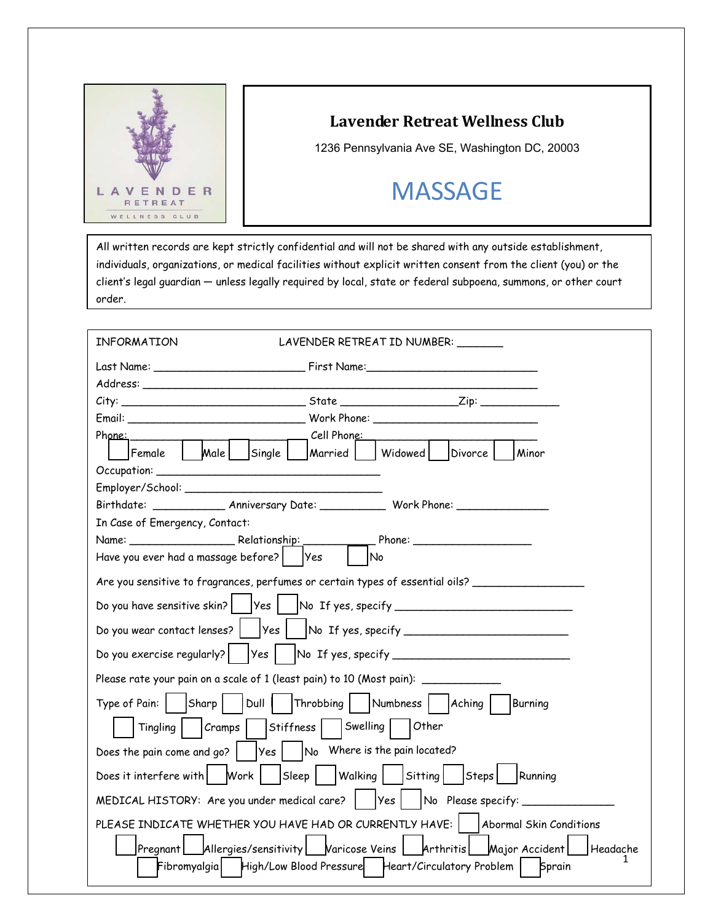

## **Lavender Retreat Wellness Club**

1236 Pennsylvania Ave SE, Washington DC, 20003

## **MASSAGE**

All written records are kept strictly confidential and will not be shared with any outside establishment, individuals, organizations, or medical facilities without explicit written consent from the client (you) or the client's legal guardian — unless legally required by local, state or federal subpoena, summons, or other court order.

| LAVENDER RETREAT ID NUMBER:<br>INFORMATION                                                                     |
|----------------------------------------------------------------------------------------------------------------|
|                                                                                                                |
| Address: Andreas Address Address and Address Address Address Address Address Address Address Address Address A |
|                                                                                                                |
|                                                                                                                |
| <u>____</u> ____ Cell Phon <u>e: __</u><br>Phone:                                                              |
| Male   Single  <br>Widowed  <br>Divorce<br>Minor<br>Female<br> Married                                         |
|                                                                                                                |
|                                                                                                                |
| Birthdate: ________________ Anniversary Date: ______________ Work Phone: ________                              |
| In Case of Emergency, Contact:                                                                                 |
|                                                                                                                |
| Have you ever had a massage before?<br> Yes<br>No                                                              |
| Are you sensitive to fragrances, perfumes or certain types of essential oils? _____________________            |
|                                                                                                                |
|                                                                                                                |
|                                                                                                                |
| Please rate your pain on a scale of 1 (least pain) to 10 (Most pain): ___________                              |
| Type of Pain:   Sharp     Dull     Throbbing     Numbness   Aching     Burning                                 |
| Stiffness    Swelling    Other<br>$ C$ ramps<br>Tingling                                                       |
| Does the pain come and go?    Yes    No Where is the pain located?                                             |
| Does it interfere with   Work   Sleep   Walking   Sitting   Steps   Running                                    |
| MEDICAL HISTORY: Are you under medical care?    Yes    No Please specify: _____________                        |
| PLEASE INDICATE WHETHER YOU HAVE HAD OR CURRENTLY HAVE:     Abormal Skin Conditions                            |
| Pregnant Allergies/sensitivity Varicose Veins   Arthritis Major Accident<br>Headache                           |
| Fibromyalgia   High/Low Blood Pressure   Heart/Circulatory Problem  <br>Sprain                                 |